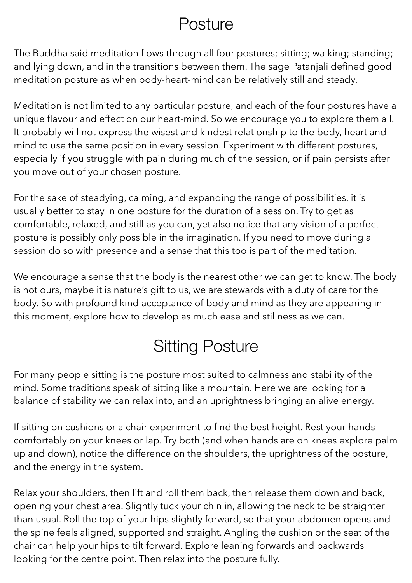### **Posture**

The Buddha said meditation flows through all four postures; sitting; walking; standing; and lying down, and in the transitions between them. The sage Patanjali defined good meditation posture as when body-heart-mind can be relatively still and steady.

Meditation is not limited to any particular posture, and each of the four postures have a unique flavour and effect on our heart-mind. So we encourage you to explore them all. It probably will not express the wisest and kindest relationship to the body, heart and mind to use the same position in every session. Experiment with different postures, especially if you struggle with pain during much of the session, or if pain persists after you move out of your chosen posture.

For the sake of steadying, calming, and expanding the range of possibilities, it is usually better to stay in one posture for the duration of a session. Try to get as comfortable, relaxed, and still as you can, yet also notice that any vision of a perfect posture is possibly only possible in the imagination. If you need to move during a session do so with presence and a sense that this too is part of the meditation.

We encourage a sense that the body is the nearest other we can get to know. The body is not ours, maybe it is nature's gift to us, we are stewards with a duty of care for the body. So with profound kind acceptance of body and mind as they are appearing in this moment, explore how to develop as much ease and stillness as we can.

# Sitting Posture

For many people sitting is the posture most suited to calmness and stability of the mind. Some traditions speak of sitting like a mountain. Here we are looking for a balance of stability we can relax into, and an uprightness bringing an alive energy.

If sitting on cushions or a chair experiment to find the best height. Rest your hands comfortably on your knees or lap. Try both (and when hands are on knees explore palm up and down), notice the difference on the shoulders, the uprightness of the posture, and the energy in the system.

Relax your shoulders, then lift and roll them back, then release them down and back, opening your chest area. Slightly tuck your chin in, allowing the neck to be straighter than usual. Roll the top of your hips slightly forward, so that your abdomen opens and the spine feels aligned, supported and straight. Angling the cushion or the seat of the chair can help your hips to tilt forward. Explore leaning forwards and backwards looking for the centre point. Then relax into the posture fully.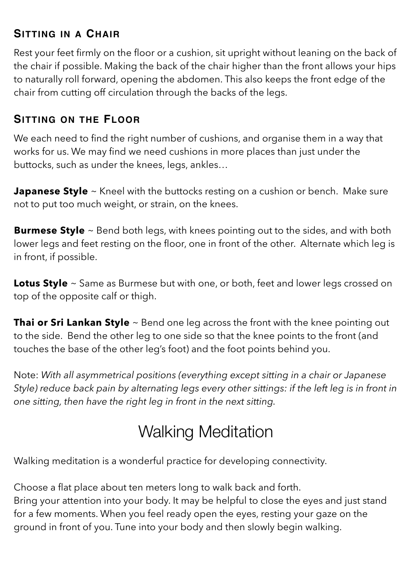#### **SITTING IN A CHAIR**

Rest your feet firmly on the floor or a cushion, sit upright without leaning on the back of the chair if possible. Making the back of the chair higher than the front allows your hips to naturally roll forward, opening the abdomen. This also keeps the front edge of the chair from cutting off circulation through the backs of the legs.

#### **SITTING ON THE FLOOR**

We each need to find the right number of cushions, and organise them in a way that works for us. We may find we need cushions in more places than just under the buttocks, such as under the knees, legs, ankles…

**Japanese Style** ~ Kneel with the buttocks resting on a cushion or bench. Make sure not to put too much weight, or strain, on the knees.

**Burmese Style** ~ Bend both legs, with knees pointing out to the sides, and with both lower legs and feet resting on the floor, one in front of the other. Alternate which leg is in front, if possible.

**Lotus Style** ~ Same as Burmese but with one, or both, feet and lower legs crossed on top of the opposite calf or thigh.

**Thai or Sri Lankan Style** ~ Bend one leg across the front with the knee pointing out to the side. Bend the other leg to one side so that the knee points to the front (and touches the base of the other leg's foot) and the foot points behind you.

Note: *With all asymmetrical positions (everything except sitting in a chair or Japanese Style) reduce back pain by alternating legs every other sittings: if the left leg is in front in one sitting, then have the right leg in front in the next sitting.*

## Walking Meditation

Walking meditation is a wonderful practice for developing connectivity.

Choose a flat place about ten meters long to walk back and forth. Bring your attention into your body. It may be helpful to close the eyes and just stand for a few moments. When you feel ready open the eyes, resting your gaze on the ground in front of you. Tune into your body and then slowly begin walking.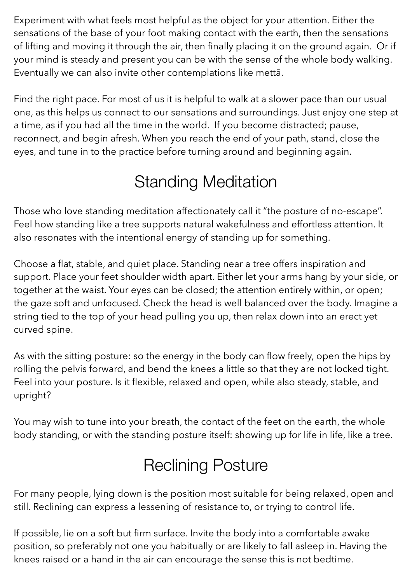Experiment with what feels most helpful as the object for your attention. Either the sensations of the base of your foot making contact with the earth, then the sensations of lifting and moving it through the air, then finally placing it on the ground again. Or if your mind is steady and present you can be with the sense of the whole body walking. Eventually we can also invite other contemplations like mettā.

Find the right pace. For most of us it is helpful to walk at a slower pace than our usual one, as this helps us connect to our sensations and surroundings. Just enjoy one step at a time, as if you had all the time in the world. If you become distracted; pause, reconnect, and begin afresh. When you reach the end of your path, stand, close the eyes, and tune in to the practice before turning around and beginning again.

## Standing Meditation

Those who love standing meditation affectionately call it "the posture of no-escape". Feel how standing like a tree supports natural wakefulness and effortless attention. It also resonates with the intentional energy of standing up for something.

Choose a flat, stable, and quiet place. Standing near a tree offers inspiration and support. Place your feet shoulder width apart. Either let your arms hang by your side, or together at the waist. Your eyes can be closed; the attention entirely within, or open; the gaze soft and unfocused. Check the head is well balanced over the body. Imagine a string tied to the top of your head pulling you up, then relax down into an erect yet curved spine.

As with the sitting posture: so the energy in the body can flow freely, open the hips by rolling the pelvis forward, and bend the knees a little so that they are not locked tight. Feel into your posture. Is it flexible, relaxed and open, while also steady, stable, and upright?

You may wish to tune into your breath, the contact of the feet on the earth, the whole body standing, or with the standing posture itself: showing up for life in life, like a tree.

# Reclining Posture

For many people, lying down is the position most suitable for being relaxed, open and still. Reclining can express a lessening of resistance to, or trying to control life.

If possible, lie on a soft but firm surface. Invite the body into a comfortable awake position, so preferably not one you habitually or are likely to fall asleep in. Having the knees raised or a hand in the air can encourage the sense this is not bedtime.